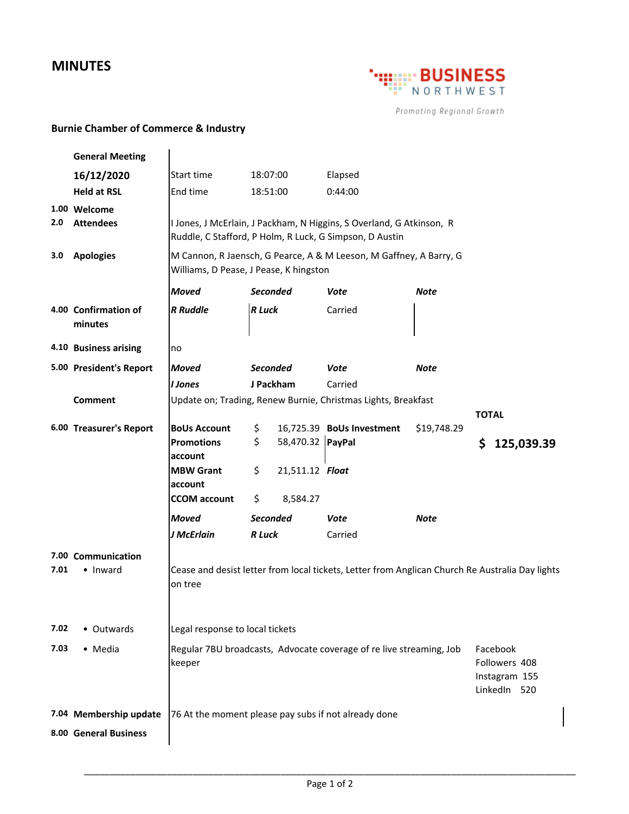## **MINUTES**



Promoting Regional Growth

 $\begin{array}{c} \hline \end{array}$ 

## **Burnie Chamber of Commerce & Industry**

|      | <b>General Meeting</b>          |                                                                                                                                             |                                                               |                  |                           |             |              |  |            |  |
|------|---------------------------------|---------------------------------------------------------------------------------------------------------------------------------------------|---------------------------------------------------------------|------------------|---------------------------|-------------|--------------|--|------------|--|
|      | 16/12/2020                      | Start time                                                                                                                                  | 18:07:00                                                      |                  | Elapsed                   |             |              |  |            |  |
|      | <b>Held at RSL</b>              | End time                                                                                                                                    | 18:51:00                                                      |                  | 0:44:00                   |             |              |  |            |  |
|      | 1.00 Welcome                    |                                                                                                                                             |                                                               |                  |                           |             |              |  |            |  |
| 2.0  | <b>Attendees</b>                | I Jones, J McErlain, J Packham, N Higgins, S Overland, G Atkinson, R<br>Ruddle, C Stafford, P Holm, R Luck, G Simpson, D Austin             |                                                               |                  |                           |             |              |  |            |  |
| 3.0  | <b>Apologies</b>                | M Cannon, R Jaensch, G Pearce, A & M Leeson, M Gaffney, A Barry, G<br>Williams, D Pease, J Pease, K hingston                                |                                                               |                  |                           |             |              |  |            |  |
|      |                                 | <b>Moved</b>                                                                                                                                | <b>Seconded</b>                                               |                  | Vote                      | Note        |              |  |            |  |
|      | 4.00 Confirmation of<br>minutes | <b>R</b> Ruddle                                                                                                                             | <b>R</b> Luck                                                 |                  | Carried                   |             |              |  |            |  |
|      | 4.10 Business arising           | no                                                                                                                                          |                                                               |                  |                           |             |              |  |            |  |
|      | 5.00 President's Report         | <b>Moved</b>                                                                                                                                |                                                               | <b>Seconded</b>  | Vote                      | <b>Note</b> |              |  |            |  |
|      |                                 | I Jones                                                                                                                                     | J Packham                                                     |                  | Carried                   |             |              |  |            |  |
|      | Comment                         |                                                                                                                                             | Update on; Trading, Renew Burnie, Christmas Lights, Breakfast |                  |                           |             |              |  |            |  |
|      | 6.00 Treasurer's Report         | <b>BoUs Account</b>                                                                                                                         |                                                               |                  | 16,725.39 BoUs Investment | \$19,748.29 | <b>TOTAL</b> |  |            |  |
|      |                                 | <b>Promotions</b>                                                                                                                           | \$<br>\$                                                      | 58,470.32 PayPal |                           |             | \$           |  | 125,039.39 |  |
|      |                                 | account                                                                                                                                     |                                                               |                  |                           |             |              |  |            |  |
|      |                                 | <b>MBW Grant</b>                                                                                                                            | \$                                                            | 21,511.12 Float  |                           |             |              |  |            |  |
|      |                                 | account<br><b>CCOM</b> account                                                                                                              | \$                                                            |                  |                           |             |              |  |            |  |
|      |                                 |                                                                                                                                             |                                                               | 8,584.27         |                           |             |              |  |            |  |
|      |                                 | <b>Moved</b>                                                                                                                                | <b>Seconded</b>                                               |                  | Vote                      | Note        |              |  |            |  |
|      |                                 | J McErlain                                                                                                                                  | R Luck                                                        |                  | Carried                   |             |              |  |            |  |
| 7.01 | 7.00 Communication<br>• Inward  | Cease and desist letter from local tickets, Letter from Anglican Church Re Australia Day lights<br>on tree                                  |                                                               |                  |                           |             |              |  |            |  |
| 7.02 | • Outwards                      | Legal response to local tickets                                                                                                             |                                                               |                  |                           |             |              |  |            |  |
| 7.03 | • Media                         | Regular 7BU broadcasts, Advocate coverage of re live streaming, Job<br>Facebook<br>Followers 408<br>keeper<br>Instagram 155<br>LinkedIn 520 |                                                               |                  |                           |             |              |  |            |  |
|      | 7.04 Membership update          | 76 At the moment please pay subs if not already done                                                                                        |                                                               |                  |                           |             |              |  |            |  |
|      | 8.00 General Business           |                                                                                                                                             |                                                               |                  |                           |             |              |  |            |  |